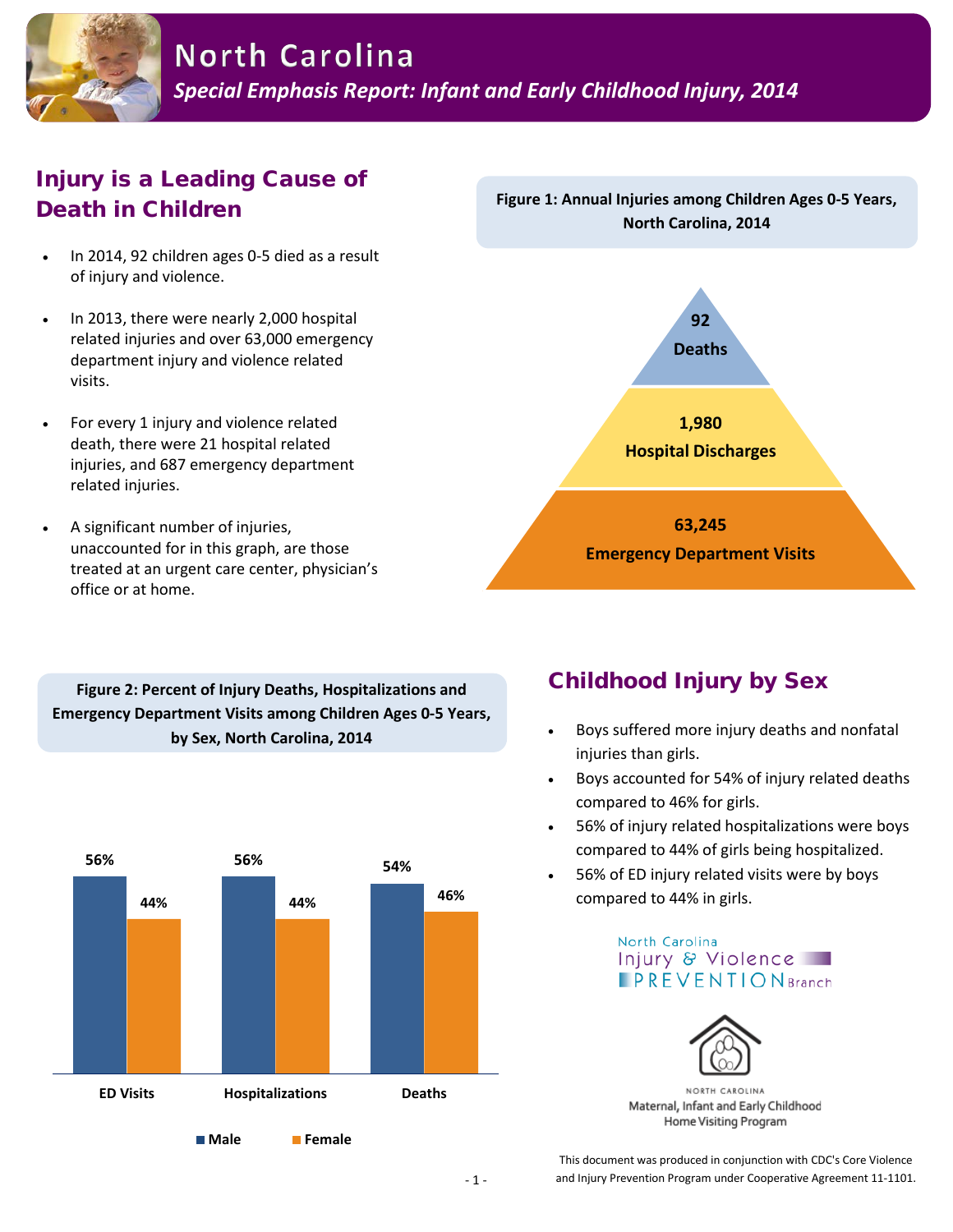

## Injury is a Leading Cause of Death in Children

- In 2014, 92 children ages 0-5 died as a result of injury and violence.
- In 2013, there were nearly 2,000 hospital related injuries and over 63,000 emergency department injury and violence related visits.
- For every 1 injury and violence related death, there were 21 hospital related injuries, and 687 emergency department related injuries.
- A significant number of injuries, unaccounted for in this graph, are those treated at an urgent care center, physician's office or at home.



**Figure 1: Annual Injuries among Children Ages 0-5 Years,** 

**Figure 2: Percent of Injury Deaths, Hospitalizations and Emergency Department Visits among Children Ages 0-5 Years, by Sex, North Carolina, 2014**



### Childhood Injury by Sex

- Boys suffered more injury deaths and nonfatal injuries than girls.
- Boys accounted for 54% of injury related deaths compared to 46% for girls.
- 56% of injury related hospitalizations were boys compared to 44% of girls being hospitalized.
- 56% of ED injury related visits were by boys compared to 44% in girls.





NORTH CAROLINA Maternal, Infant and Early Childhood Home Visiting Program

This document was produced in conjunction with CDC's Core Violence and Injury Prevention Program under Cooperative Agreement 11-1101.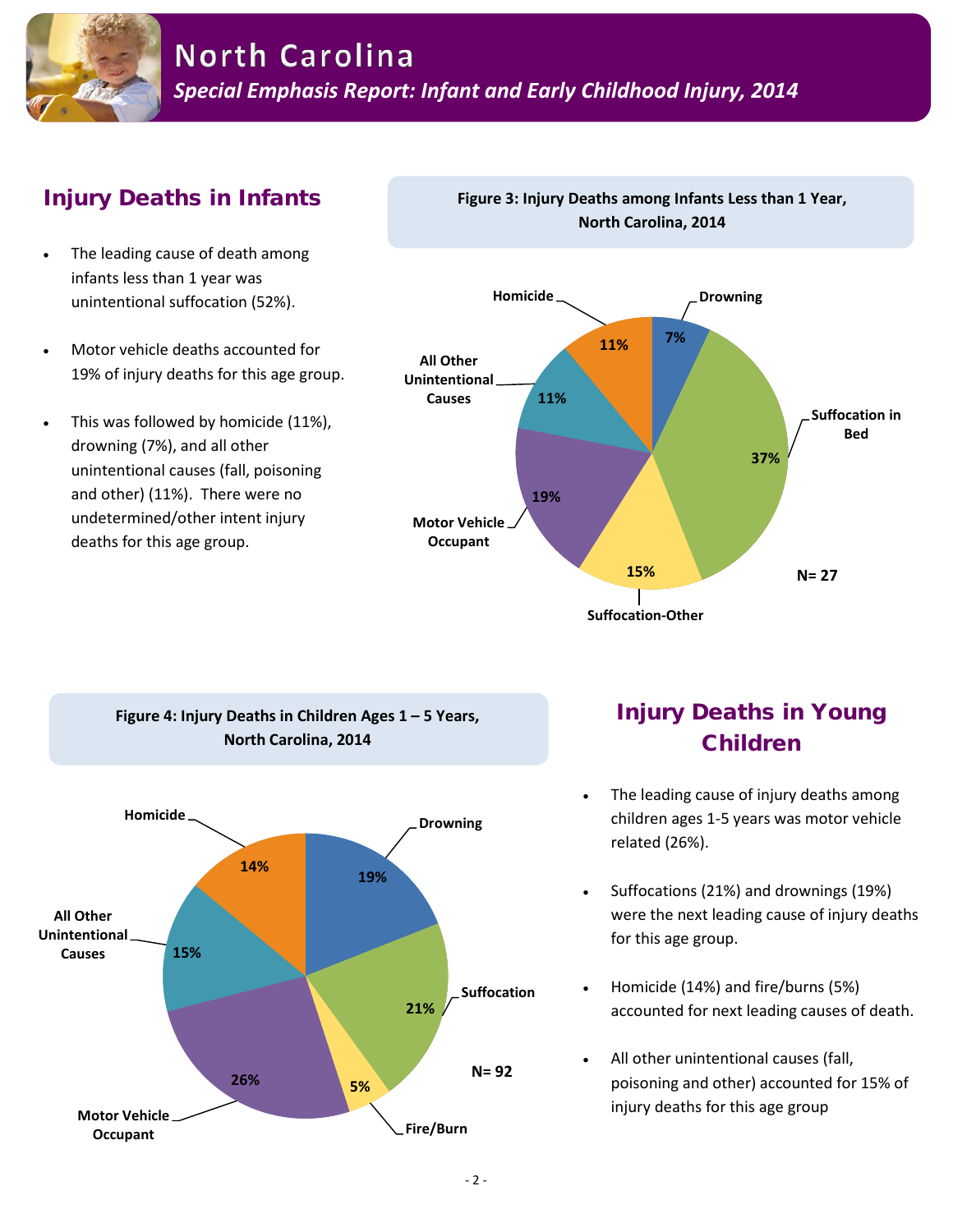

# Injury Deaths in Infants

- The leading cause of death among infants less than 1 year was unintentional suffocation (52%).
- Motor vehicle deaths accounted for 19% of injury deaths for this age group.
- This was followed by homicide (11%), drowning (7%), and all other unintentional causes (fall, poisoning and other) (11%). There were no undetermined/other intent injury deaths for this age group.



**Figure 3: Injury Deaths among Infants Less than 1 Year, North Carolina, 2014**

**Suffocation-Other**



# Injury Deaths in Young Children

- The leading cause of injury deaths among children ages 1-5 years was motor vehicle related (26%).
- Suffocations (21%) and drownings (19%) were the next leading cause of injury deaths for this age group.
- Homicide (14%) and fire/burns (5%) accounted for next leading causes of death.
- All other unintentional causes (fall, poisoning and other) accounted for 15% of injury deaths for this age group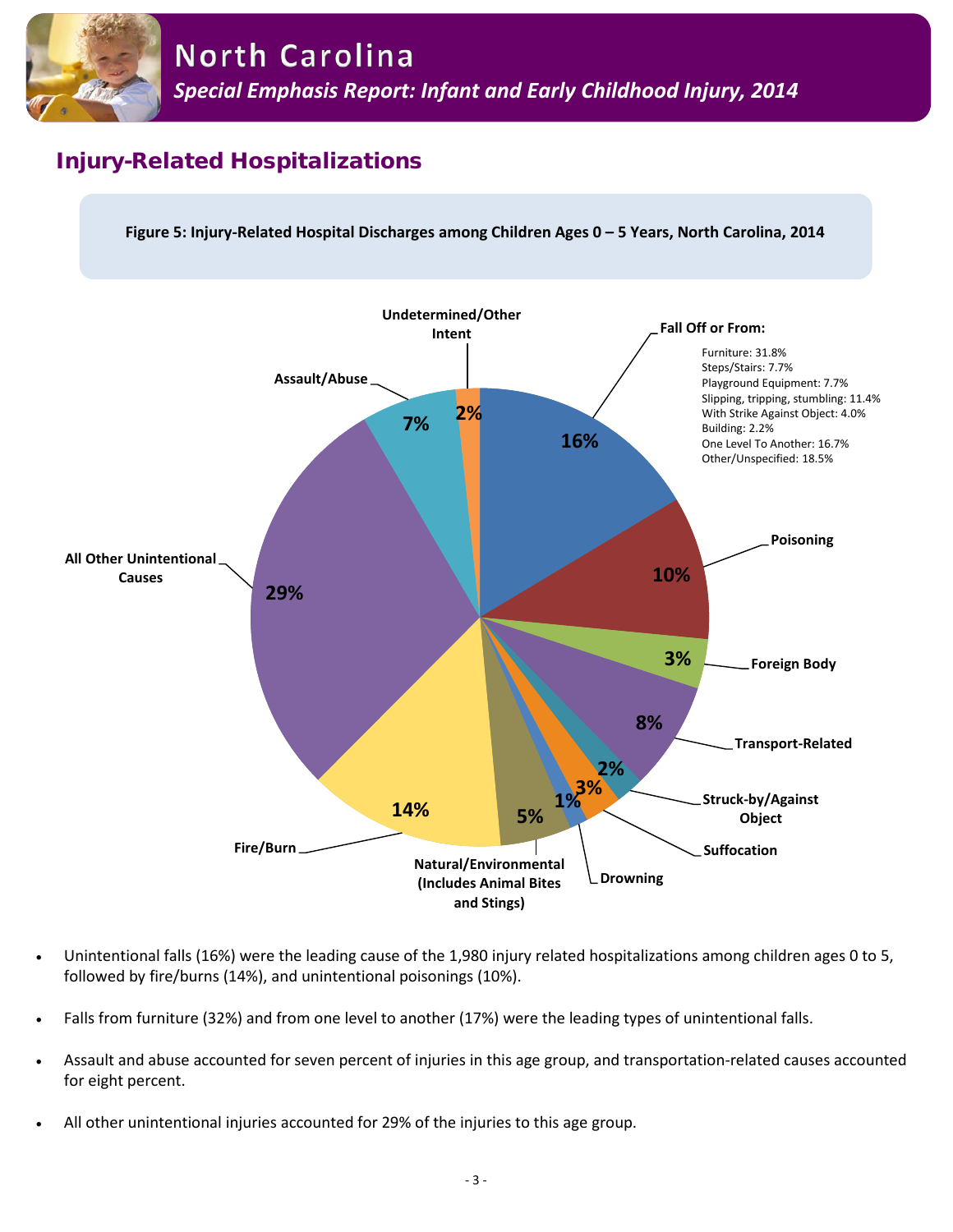

#### Injury-Related Hospitalizations





- Unintentional falls (16%) were the leading cause of the 1,980 injury related hospitalizations among children ages 0 to 5, followed by fire/burns (14%), and unintentional poisonings (10%).
- Falls from furniture (32%) and from one level to another (17%) were the leading types of unintentional falls.
- Assault and abuse accounted for seven percent of injuries in this age group, and transportation-related causes accounted for eight percent.
- All other unintentional injuries accounted for 29% of the injuries to this age group.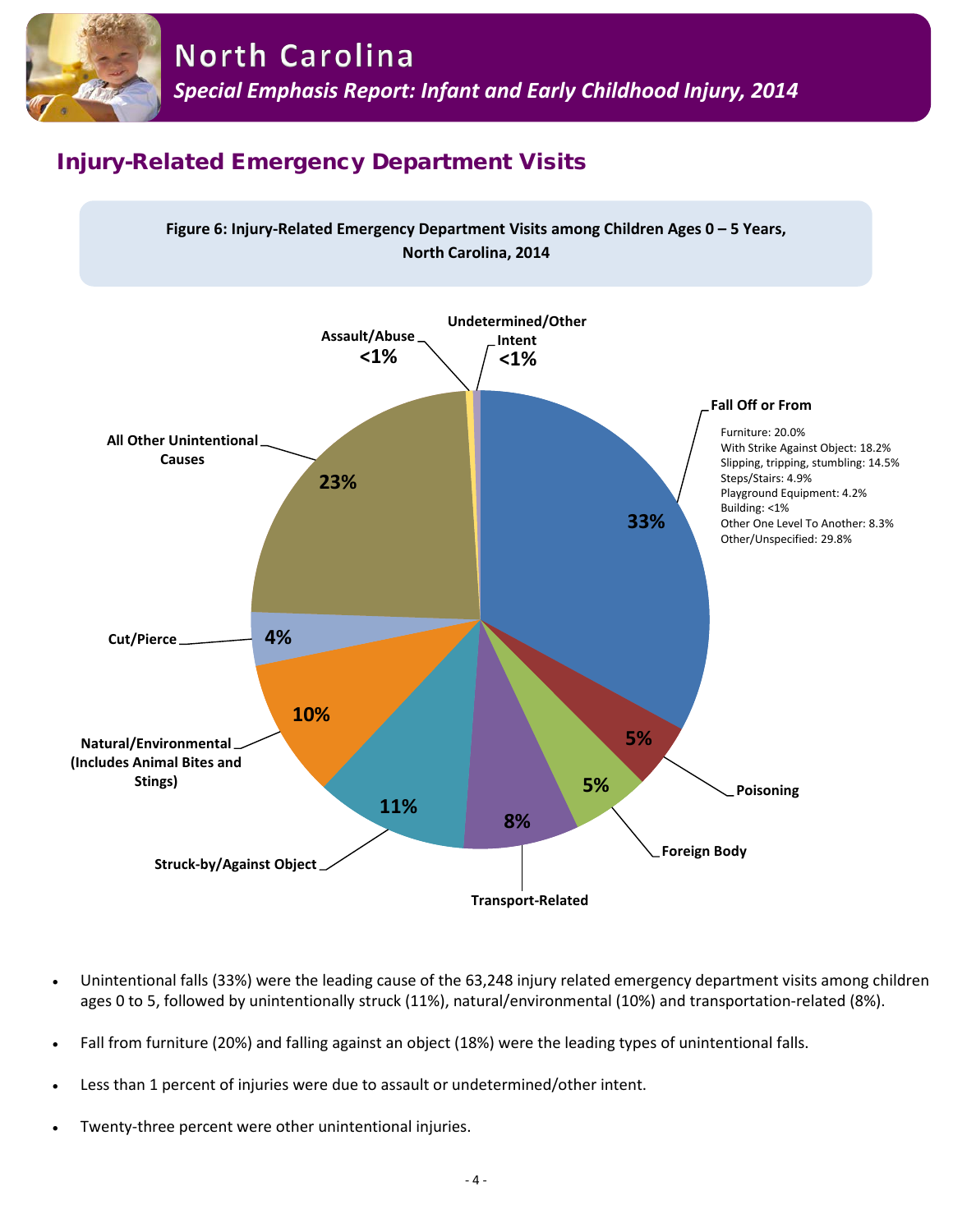

# Injury-Related Emergency Department Visits



- Unintentional falls (33%) were the leading cause of the 63,248 injury related emergency department visits among children ages 0 to 5, followed by unintentionally struck (11%), natural/environmental (10%) and transportation-related (8%).
- Fall from furniture (20%) and falling against an object (18%) were the leading types of unintentional falls.
- Less than 1 percent of injuries were due to assault or undetermined/other intent.
- Twenty-three percent were other unintentional injuries.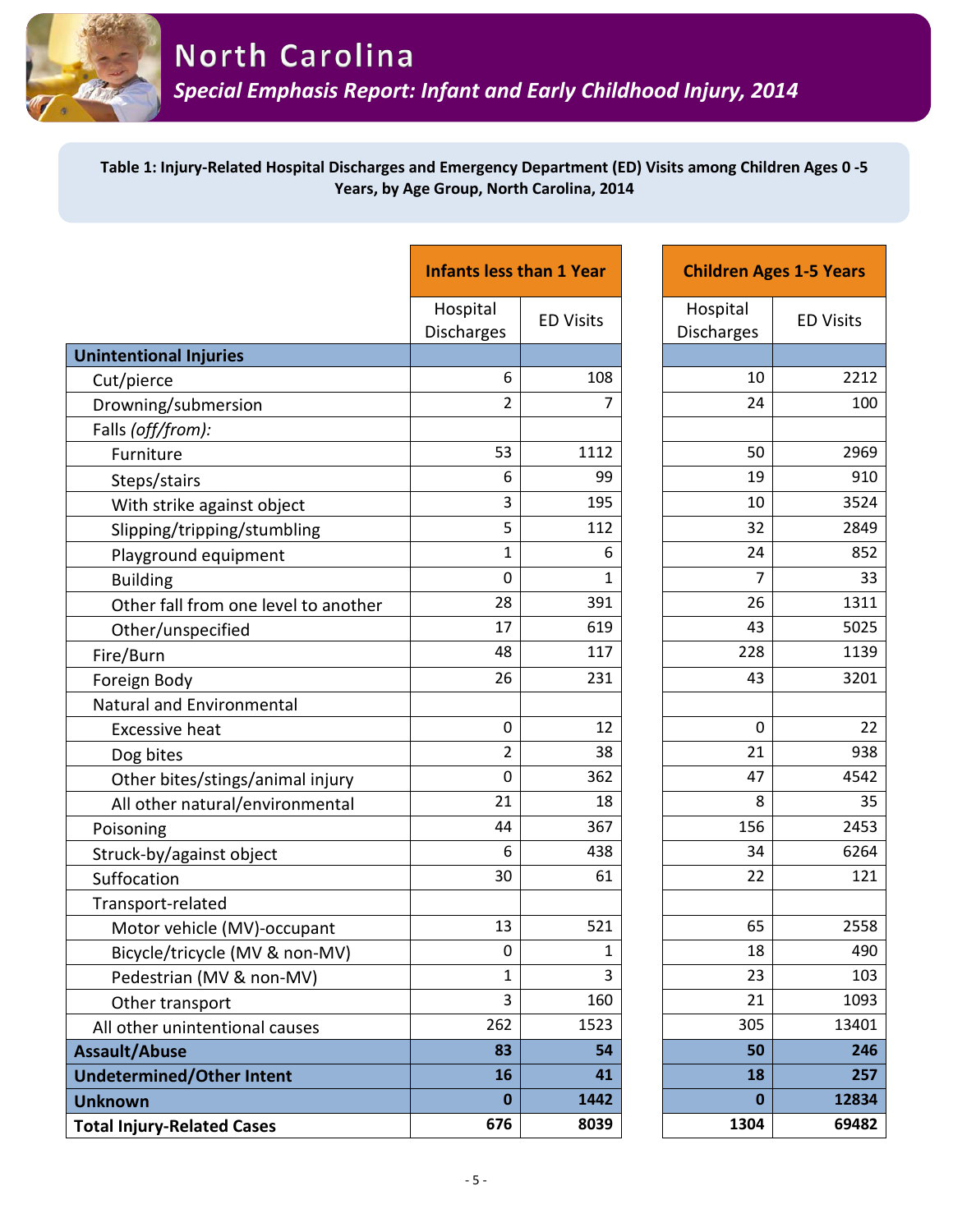

#### **Table 1: Injury-Related Hospital Discharges and Emergency Department (ED) Visits among Children Ages 0 -5 Years, by Age Group, North Carolina, 2014**

|                                      | <b>Infants less than 1 Year</b> |                  | <b>Children Ages 1-5 Years</b> |                  |
|--------------------------------------|---------------------------------|------------------|--------------------------------|------------------|
|                                      | Hospital<br>Discharges          | <b>ED Visits</b> | Hospital<br>Discharges         | <b>ED Visits</b> |
| <b>Unintentional Injuries</b>        |                                 |                  |                                |                  |
| Cut/pierce                           | 6                               | 108              | 10                             | 2212             |
| Drowning/submersion                  | $\overline{2}$                  | 7                | 24                             | 100              |
| Falls (off/from):                    |                                 |                  |                                |                  |
| Furniture                            | 53                              | 1112             | 50                             | 2969             |
| Steps/stairs                         | 6                               | 99               | 19                             | 910              |
| With strike against object           | 3                               | 195              | 10                             | 3524             |
| Slipping/tripping/stumbling          | 5                               | 112              | 32                             | 2849             |
| Playground equipment                 | $\mathbf{1}$                    | 6                | 24                             | 852              |
| <b>Building</b>                      | $\overline{0}$                  | 1                | $\overline{7}$                 | 33               |
| Other fall from one level to another | 28                              | 391              | 26                             | 1311             |
| Other/unspecified                    | 17                              | 619              | 43                             | 5025             |
| Fire/Burn                            | 48                              | 117              | 228                            | 1139             |
| Foreign Body                         | 26                              | 231              | 43                             | 3201             |
| Natural and Environmental            |                                 |                  |                                |                  |
| <b>Excessive heat</b>                | $\mathbf 0$                     | 12               | $\mathbf 0$                    | 22               |
| Dog bites                            | $\overline{2}$                  | 38               | 21                             | 938              |
| Other bites/stings/animal injury     | 0                               | 362              | 47                             | 4542             |
| All other natural/environmental      | 21                              | 18               | 8                              | 35               |
| Poisoning                            | 44                              | 367              | 156                            | 2453             |
| Struck-by/against object             | 6                               | 438              | 34                             | 6264             |
| Suffocation                          | 30                              | 61               | 22                             | 121              |
| Transport-related                    |                                 |                  |                                |                  |
| Motor vehicle (MV)-occupant          | 13                              | 521              | 65                             | 2558             |
| Bicycle/tricycle (MV & non-MV)       | $\pmb{0}$                       | $\mathbf 1$      | 18                             | 490              |
| Pedestrian (MV & non-MV)             | 1                               | 3                | 23                             | 103              |
| Other transport                      | 3                               | 160              | 21                             | 1093             |
| All other unintentional causes       | 262                             | 1523             | 305                            | 13401            |
| <b>Assault/Abuse</b>                 | 83                              | 54               | 50                             | 246              |
| <b>Undetermined/Other Intent</b>     | 16                              | 41               | 18                             | 257              |
| <b>Unknown</b>                       | $\mathbf{0}$                    | 1442             | $\mathbf 0$                    | 12834            |
| <b>Total Injury-Related Cases</b>    | 676                             | 8039             | 1304                           | 69482            |

| <b>Infants less than 1 Year</b> |                  |                        | <b>Children Ages 1-5 Years</b> |
|---------------------------------|------------------|------------------------|--------------------------------|
| Hospital<br><b>Discharges</b>   | <b>ED Visits</b> | Hospital<br>Discharges | <b>ED Visits</b>               |
|                                 |                  |                        |                                |
| 6                               | 108              | 10                     | 2212                           |
| $\overline{2}$                  | 7                | 24                     | 100                            |
|                                 |                  |                        |                                |
| 53                              | 1112             | 50                     | 2969                           |
| 6                               | 99               | 19                     | 910                            |
| 3                               | 195              | 10                     | 3524                           |
| 5                               | 112              | 32                     | 2849                           |
| $\mathbf{1}$                    | 6                | 24                     | 852                            |
| 0                               | 1                | 7                      | 33                             |
| 28                              | 391              | 26                     | 1311                           |
| 17                              | 619              | 43                     | 5025                           |
| 48                              | 117              | 228                    | 1139                           |
| 26                              | 231              | 43                     | 3201                           |
|                                 |                  |                        |                                |
| 0                               | 12               | 0                      | 22                             |
| $\overline{2}$                  | 38               | 21                     | 938                            |
| 0                               | 362              | 47                     | 4542                           |
| 21                              | 18               | 8                      | 35                             |
| 44                              | 367              | 156                    | 2453                           |
| 6                               | 438              | 34                     | 6264                           |
| 30                              | 61               | 22                     | 121                            |
|                                 |                  |                        |                                |
| 13                              | 521              | 65                     | 2558                           |
| U                               | 1                | 18                     | 490                            |
| $\mathbf{1}$                    | 3                | 23                     | 103                            |
| 3                               | 160              | 21                     | 1093                           |
| 262                             | 1523             | 305                    | 13401                          |
| 83                              | 54               | 50                     | 246                            |
| 16                              | 41               | 18                     | 257                            |
| $\bf{0}$                        | 1442             | $\bf{0}$               | 12834                          |
| 676                             | 8039             | 1304                   | 69482                          |